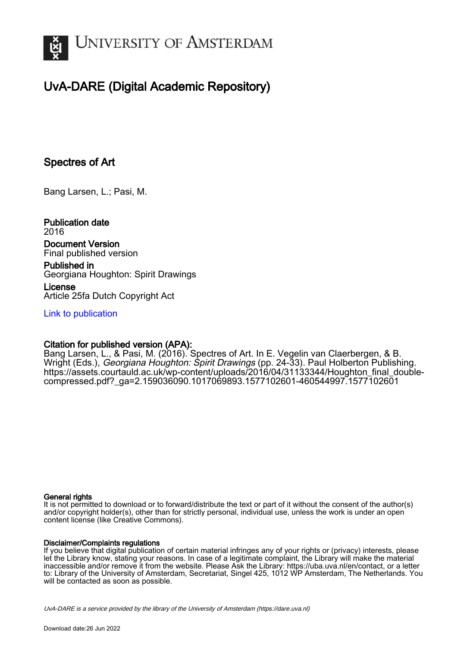

# UvA-DARE (Digital Academic Repository)

## Spectres of Art

Bang Larsen, L.; Pasi, M.

Publication date 2016 Document Version

Final published version

Published in Georgiana Houghton: Spirit Drawings

License Article 25fa Dutch Copyright Act

[Link to publication](https://dare.uva.nl/personal/pure/en/publications/spectres-of-art(50b296b2-a9d8-44e6-9055-2b3d896a3e4b).html)

## Citation for published version (APA):

Bang Larsen, L., & Pasi, M. (2016). Spectres of Art. In E. Vegelin van Claerbergen, & B. Wright (Eds.), Georgiana Houghton: Spirit Drawings (pp. 24-33). Paul Holberton Publishing. [https://assets.courtauld.ac.uk/wp-content/uploads/2016/04/31133344/Houghton\\_final\\_double](https://assets.courtauld.ac.uk/wp-content/uploads/2016/04/31133344/Houghton_final_double-compressed.pdf?_ga=2.159036090.1017069893.1577102601-460544997.1577102601)[compressed.pdf?\\_ga=2.159036090.1017069893.1577102601-460544997.1577102601](https://assets.courtauld.ac.uk/wp-content/uploads/2016/04/31133344/Houghton_final_double-compressed.pdf?_ga=2.159036090.1017069893.1577102601-460544997.1577102601)

## General rights

It is not permitted to download or to forward/distribute the text or part of it without the consent of the author(s) and/or copyright holder(s), other than for strictly personal, individual use, unless the work is under an open content license (like Creative Commons).

## Disclaimer/Complaints regulations

If you believe that digital publication of certain material infringes any of your rights or (privacy) interests, please let the Library know, stating your reasons. In case of a legitimate complaint, the Library will make the material inaccessible and/or remove it from the website. Please Ask the Library: https://uba.uva.nl/en/contact, or a letter to: Library of the University of Amsterdam, Secretariat, Singel 425, 1012 WP Amsterdam, The Netherlands. You will be contacted as soon as possible.

UvA-DARE is a service provided by the library of the University of Amsterdam (http*s*://dare.uva.nl)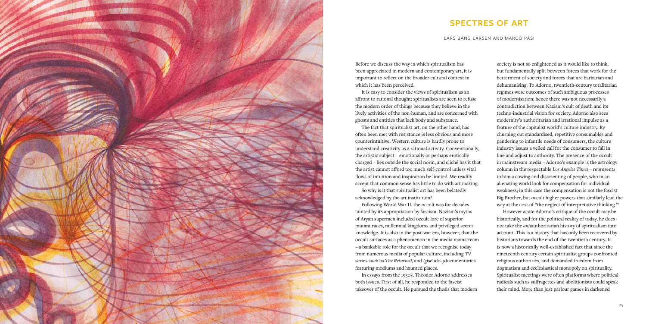

Before we discuss the way in which spiritualism has been appreciated in modern and contemporary art, it is important to reflect on the broader cultural context in which it has been perceived.

It is easy to consider the views of spiritualism as an affront to rational thought: spiritualists are seen to refuse the modern order of things because they believe in the lively activities of the non-human, and are concerned with ghosts and entities that lack body and substance.

The fact that spiritualist art, on the other hand, has often been met with resistance is less obvious and more counterintuitive. Western culture is hardly prone to understand creativity as a rational activity. Conventionally, the artistic subject – emotionally or perhaps erotically charged – lies outside the social norm, and cliché has it that the artist cannot afford too much self-control unless vital flows of intuition and inspiration be limited. We readily accept that common sense has little to do with art making.

society is not so enlightened as it would like to think, but fundamentally split between forces that work for the betterment of society and forces that are barbarian and dehumanising. To Adorno, twentieth-century totalitarian regimes were outcomes of such ambiguous processes of modernisation; hence there was not necessarily a contradiction between Nazism's cult of death and its techno-industrial vision for society. Adorno also sees modernity's authoritarian and irrational impulse as a feature of the capitalist world's culture industry. By churning out standardised, repetitive consumables and pandering to infantile needs of consumers, the culture industry issues a veiled call for the consumer to fall in line and adjust to authority. The presence of the occult in mainstream media – Adorno's example is the astrology column in the respectable *Los Angeles Times* – represents to him a cowing and disorienting of people, who in an alienating world look for compensation for individual weakness; in this case the compensation is not the fascist Big Brother, but occult higher powers that similarly lead the way at the cost of "the neglect of interpretative thinking."<sup>1</sup>

So why is it that spiritualist art has been belatedly acknowledged by the art institution?

Following World War II, the occult was for decades tainted by its appropriation by fascism. Nazism's myths of Aryan supermen included occult lore of superior mutant races, millennial kingdoms and privileged secret knowledge. It is also in the post-war era, however, that the occult surfaces as a phenomenon in the media mainstream – a bankable role for the occult that we recognise today from numerous media of popular culture, including TV series such as *The Returned*, and (pseudo-)documentaries featuring mediums and haunted places.

In essays from the 1950s, Theodor Adorno addresses both issues. First of all, he responded to the fascist takeover of the occult. He pursued the thesis that modern

However acute Adorno's critique of the occult may be historically, and for the political reality of today, he does not take the *anti*authoritarian history of spiritualism into account. This is a history that has only been recovered by historians towards the end of the twentieth century. It is now a historically well-established fact that since the nineteenth century certain spiritualist groups confronted religious authorities, and demanded freedom from dogmatism and ecclesiastical monopoly on spirituality. Spiritualist meetings were often platforms where political radicals such as suffragettes and abolitionists could speak their mind. More than just parlour games in darkened

## **spectres of art**

lars bang larsen and marco pasi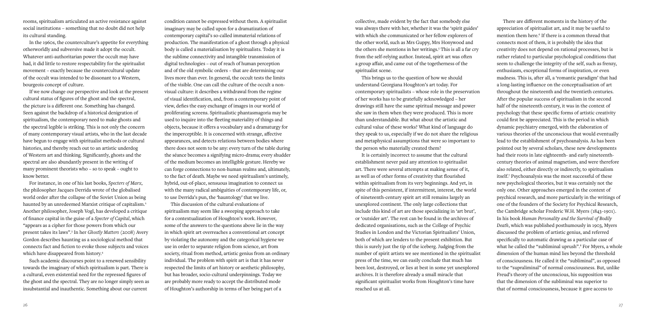condition cannot be expressed without them. A spiritualist imaginary may be called upon for a dramatization of contemporary capital's so-called immaterial relations of production. The manifestation of a ghost through a physical body is called a materialisation by spiritualists. Today it is the sublime connectivity and intangible transmission of digital technologies – out of reach of human perception and of the old symbolic orders – that are determining our lives more than ever. In general, the occult tests the limits of the visible. One can call the culture of the occult a nonvisual culture: it describes a withdrawal from the regime of visual identification, and, from a contemporary point of view, defies the easy exchange of images in our world of proliferating screens. Spiritualistic phantasmagoria may be used to inquire into the fleeting materiality of things and objects, because it offers a vocabulary and a dramaturgy for the imperceptible. It is concerned with strange, affective appearances, and detects relations between bodies where there does not seem to be any: every turn of the table during the séance becomes a signifying micro-drama; every shudder of the medium becomes an intelligible gesture. Hereby we can forge connections to non-human realms and, ultimately, to the fact of death. Maybe we need spiritualism's untimely, hybrid, out-of-place, sensuous imagination to connect us with the many radical ambiguities of contemporary life, or, to use Derrida's pun, the 'hauntology' that we live.

This discussion of the cultural evaluations of spiritualism may seem like a sweeping approach to take for a contextualization of Houghton's work. However, some of the answers to the questions above lie in the way in which spirit art overreaches a conventional art concept by violating the autonomy and the categorical hygiene we use in order to separate religion from science, art from society, ritual from method, artistic genius from an ordinary individual. The problem with spirit art is that it has never respected the limits of art history or aesthetic philosophy, but has broader, socio-cultural underpinnings. Today we are probably more ready to accept the distributed mode of Houghton's authorship in terms of her being part of a

rooms, spiritualism articulated an active resistance against social institutions – something that no doubt did not help its cultural standing.

In the 1960s, the counterculture's appetite for everything otherworldly and subversive made it adopt the occult. Whatever anti-authoritarian power the occult may have had, it did little to restore respectability for the spiritualist movement – exactly because the countercultural update of the occult was intended to be dissonant to a Western, bourgeois concept of culture.

If we now change our perspective and look at the present cultural status of figures of the ghost and the spectral, the picture is a different one. Something has changed. Seen against the backdrop of a historical denigration of spiritualism, the contemporary need to make ghosts and the spectral legible is striking. This is not only the concern of many contemporary visual artists, who in the last decade have begun to engage with spiritualist methods or cultural histories, and thereby reach out to an artistic underdog of Western art and thinking. Significantly, ghosts and the spectral are also abundantly present in the writing of many prominent theorists who – so to speak – ought to know better.

For instance, in one of his last books, *Specters of Marx*, the philosopher Jacques Derrida wrote of the globalised world order after the collapse of the Soviet Union as being haunted by an unredeemed Marxist critique of capitalism.2 Another philosopher, Joseph Vogl, has developed a critique of finance capital in the guise of a *Specter of Capital*, which "appears as a cipher for those powers from which our present takes its laws".3 In her *Ghostly Matters* (2008) Avery Gordon describes haunting as a sociological method that connects fact and fiction to evoke those subjects and voices which have disappeared from history.4

Such academic discourses point to a renewed sensibility towards the imaginary of which spiritualism is part. There is a cultural, even existential need for the repressed figures of the ghost and the spectral. They are no longer simply seen as insubstantial and inauthentic. Something about our current

There are different moments in the history of the appreciation of spiritualist art, and it may be useful to mention them here.<sup>6</sup> If there is a common thread that connects most of them, it is probably the idea that creativity does not depend on rational processes, but is rather related to particular psychological conditions that seem to challenge the integrity of the self, such as frenzy, enthusiasm, exceptional forms of inspiration, or even madness. This is, after all, a 'romantic paradigm' that had a long-lasting influence on the conceptualisation of art throughout the nineteenth and the twentieth centuries. After the popular success of spiritualism in the second half of the nineteenth century, it was in the context of psychology that these specific forms of artistic creativity could first be appreciated. This is the period in which dynamic psychiatry emerged, with the elaboration of various theories of the unconscious that would eventually lead to the establishment of psychoanalysis. As has been pointed out by several scholars, these new developments had their roots in late eighteenth- and early nineteenthcentury theories of animal magnetism, and were therefore also related, either directly or indirectly, to spiritualism itself.7 Psychoanalysis was the most successful of these new psychological theories, but it was certainly not the only one. Other approaches emerged in the context of psychical research, and more particularly in the writings of one of the founders of the Society for Psychical Research, the Cambridge scholar Frederic W.H. Myers (1843–1901). In his book *Human Personality and the Survival of Bodily Death*, which was published posthumously in 1903, Myers discussed the problem of artistic genius, and referred specifically to automatic drawing as a particular case of what he called the "subliminal uprush".<sup>8</sup> For Myers, a whole dimension of the human mind lies beyond the threshold of consciousness. He called it the "subliminal", as opposed to the "supraliminal" of normal consciousness. But, unlike Freud's theory of the unconscious, his supposition was that the dimension of the subliminal was superior to that of normal consciousness, because it gave access to

collective, made evident by the fact that somebody else was always there with her, whether it was the 'spirit guides' with which she communicated or her fellow explorers of the other world, such as Mrs Guppy, Mrs Honywood and the others she mentions in her writings.<sup>5</sup> This is all a far cry from the self-relying author. Instead, spirit art was often a group affair, and came out of the togetherness of the spiritualist scene.

This brings us to the question of how we should understand Georgiana Houghton's art today. For contemporary spiritualists – whose role in the preservation of her works has to be gratefully acknowledged – her drawings still have the same spiritual message and power she saw in them when they were produced. This is more than understandable. But what about the artistic and cultural value of these works? What kind of language do they speak to us, especially if we do not share the religious and metaphysical assumptions that were so important to the person who materially created them?

It is certainly incorrect to assume that the cultural establishment never paid any attention to spiritualist art. There were several attempts at making sense of it, as well as of other forms of creativity that flourished within spiritualism from its very beginnings. And yet, in spite of this persistent, if intermittent, interest, the world of nineteenth-century spirit art still remains largely an unexplored continent. The only large collections that include this kind of art are those specializing in 'art brut', or 'outsider art'. The rest can be found in the archives of dedicated organisations, such as the College of Psychic Studies in London and the Victorian Spiritualists' Union, both of which are lenders to the present exhibition. But this is surely just the tip of the iceberg. Judging from the number of spirit artists we see mentioned in the spiritualist press of the time, we can easily conclude that much has been lost, destroyed, or lies at best in some yet unexplored archives. It is therefore already a small miracle that significant spiritualist works from Houghton's time have reached us at all.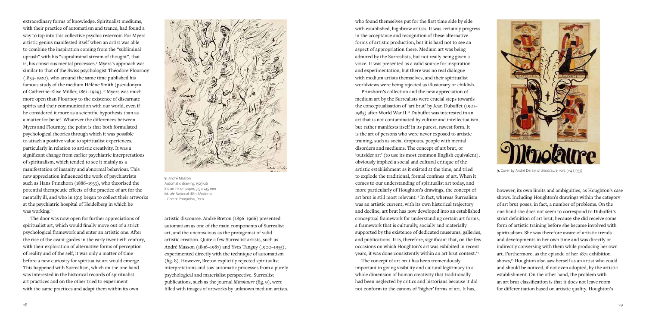extraordinary forms of knowledge. Spiritualist mediums, with their practice of automatism and trance, had found a way to tap into this collective psychic reservoir. For Myers artistic genius manifested itself when an artist was able to combine the inspiration coming from the "subliminal uprush" with his "supraliminal stream of thought", that is, his conscious mental processes.9 Myers's approach was similar to that of the Swiss psychologist Théodore Flournoy (1854–1920), who around the same time published his famous study of the medium Hélène Smith (pseudonym of Catherine-Elise Müller, 1861–1929).<sup>10</sup> Myers was much more open than Flournoy to the existence of discarnate spirits and their communication with our world, even if he considered it more as a scientific hypothesis than as a matter for belief. Whatever the differences between Myers and Flournoy, the point is that both formulated psychological theories through which it was possible to attach a positive value to spiritualist experiences, particularly in relation to artistic creativity. It was a significant change from earlier psychiatric interpretations of spiritualism, which tended to see it mainly as a manifestation of insanity and abnormal behaviour. This new appreciation influenced the work of psychiatrists such as Hans Prinzhorn (1886–1933), who theorised the potential therapeutic effects of the practice of art for the mentally ill, and who in 1919 began to collect their artworks at the psychiatric hospital of Heidelberg in which he was working.<sup>11</sup>

> artistic discourse. André Breton (1896–1966) presented automatism as one of the main components of Surrealist art, and the unconscious as the protagonist of valid artistic creation. Quite a few Surrealist artists, such as André Masson (1896–1987) and Yves Tanguy (1900–1955), experimented directly with the technique of automatism (fig. 8). However, Breton explicitly rejected spiritualist interpretations and saw automatic processes from a purely psychological and materialist perspective. Surrealist publications, such as the journal *Minotaure* (fig. 9), were filled with images of artworks by unknown medium artists,

Prinzhorn's collection and the new appreciation of medium art by the Surrealists were crucial steps towards the conceptualisation of 'art brut' by Jean Dubuffet (1901– 1985) after World War II.12 Dubuffet was interested in an art that is not contaminated by culture and intellectualism, but rather manifests itself in its purest, rawest form. It is the art of persons who were never exposed to artistic training, such as social dropouts, people with mental disorders and mediums. The concept of art brut, or 'outsider art' (to use its most common English equivalent), obviously implied a social and cultural critique of the artistic establishment as it existed at the time, and tried to explode the traditional, formal confines of art. When it comes to our understanding of spiritualist art today, and more particularly of Houghton's drawings, the concept of art brut is still most relevant.<sup>13</sup> In fact, whereas Surrealism was an artistic current, with its own historical trajectory and decline, art brut has now developed into an established conceptual framework for understanding certain art forms, a framework that is culturally, socially and materially supported by the existence of dedicated museums, galleries, and publications. It is, therefore, significant that, on the few occasions on which Houghton's art was exhibited in recent years, it was done consistently within an art brut context.<sup>14</sup>

 The door was now open for further appreciations of spiritualist art, which would finally move out of a strict psychological framework and enter an artistic one. After the rise of the avant-gardes in the early twentieth century, with their exploration of alternative forms of perception of reality and of the self, it was only a matter of time before a new curiosity for spiritualist art would emerge. This happened with Surrealism, which on the one hand was interested in the historical records of spiritualist art practices and on the other tried to experiment with the same practices and adapt them within its own



8. André Masson Automatic drawing, 1925–26 Indian ink on paper, 315 x 245 mm Musée National d'Art Moderne – Centre Pompidou, Paris

however, its own limits and ambiguities, as Houghton's case shows. Including Houghton's drawings within the category of art brut poses, in fact, a number of problems. On the one hand she does not seem to correspond to Dubuffet's strict definition of art brut, because she did receive some form of artistic training before she became involved with spiritualism. She was therefore aware of artistic trends and developments in her own time and was directly or indirectly conversing with them while producing her own art. Furthermore, as the episode of her 1871 exhibition shows,<sup>15</sup> Houghton also saw herself as an artist who could and should be noticed, if not even adopted, by the artistic establishment. On the other hand, the problem with an art brut classification is that it does not leave room for differentiation based on artistic quality. Houghton's

who found themselves put for the first time side by side with established, highbrow artists. It was certainly progress in the acceptance and recognition of these alternative forms of artistic production, but it is hard not to see an aspect of appropriation there. Medium art was being admired by the Surrealists, but not really being given a voice. It was presented as a valid source for inspiration and experimentation, but there was no real dialogue with medium artists themselves, and their spiritualist worldviews were being rejected as illusionary or childish.

The concept of art brut has been tremendously important in giving visibility and cultural legitimacy to a whole dimension of human creativity that traditionally had been neglected by critics and historians because it did not conform to the canons of 'higher' forms of art. It has,



9. Cover by André Derain of *Minotaure*, vols. 3–4 (1933)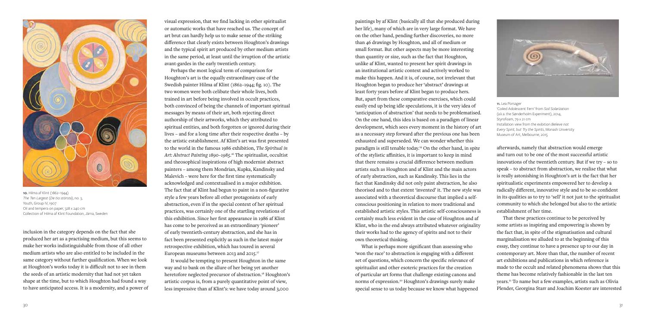visual expression, that we find lacking in other spiritualist or automatic works that have reached us. The concept of art brut can hardly help us to make sense of the striking difference that clearly exists between Houghton's drawings and the typical spirit art produced by other medium artists in the same period, at least until the irruption of the artistic avant-gardes in the early twentieth century.

Perhaps the most logical term of comparison for Houghton's art is the equally extraordinary case of the Swedish painter Hilma af Klint (1862–1944; fig. 10). The two women were both celibate their whole lives, both trained in art before being involved in occult practices, both convinced of being the channels of important spiritual messages by means of their art, both rejecting direct authorship of their artworks, which they attributed to spiritual entities, and both forgotten or ignored during their lives – and for a long time after their respective deaths – by the artistic establishment. Af Klint's art was first presented to the world in the famous 1986 exhibition, *The Spiritual in Art: Abstract Painting 1890–1985*. 16 The spiritualist, occultist and theosophical inspirations of high modernist abstract painters – among them Mondrian, Kupka, Kandinsky and Malevich – were here for the first time systematically acknowledged and contextualised in a major exhibition. The fact that af Klint had begun to paint in a non-figurative style a few years before all other protagonists of early abstraction, even if in the special context of her spiritual practices, was certainly one of the startling revelations of this exhibition. Since her first appearance in 1986 af Klint has come to be perceived as an extraordinary 'pioneer' of early twentieth-century abstraction, and she has in fact been presented explicitly as such in the latest major retrospective exhibition, which has toured in several European museums between 2013 and 2015.17

It would be tempting to present Houghton in the same way and to bank on the allure of her being yet another heretofore neglected precursor of abstraction.<sup>18</sup> Houghton's artistic corpus is, from a purely quantitative point of view, less impressive than af Klint's: we have today around 3,000

inclusion in the category depends on the fact that she produced her art as a practising medium, but this seems to make her works indistinguishable from those of all other medium artists who are also entitled to be included in the same category without further qualification. When we look at Houghton's works today it is difficult not to see in them the seeds of an artistic modernity that had not yet taken shape at the time, but to which Houghton had found a way to have anticipated access. It is a modernity, and a power of



10. Hilma af Klint (1862–1944) *The Ten Largest* (*De tio största*), no. 3, Youth, Group IV, 1907 Oil and tempera on paper, 328 x 240 cm Collection of Hilma af Klint Foundation, Järna, Sweden

afterwards, namely that abstraction would emerge and turn out to be one of the most successful artistic innovations of the twentieth century. But if we try – so to speak – to abstract from abstraction, we realise that what is really astonishing in Houghton's art is the fact that her spiritualistic experiments empowered her to develop a radically different, innovative style and to be so confident in its qualities as to try to 'sell' it not just to the spiritualist community to which she belonged but also to the artistic establishment of her time.

That these practices continue to be perceived by some artists as inspiring and empowering is shown by the fact that, in spite of the stigmatisation and cultural marginalisation we alluded to at the beginning of this essay, they continue to have a presence up to our day in contemporary art. More than that, the number of recent art exhibitions and publications in which reference is made to the occult and related phenomena shows that this theme has become relatively fashionable in the last ten years.21 To name but a few examples, artists such as Olivia Plender, Georgina Starr and Joachim Koester are interested

paintings by af Klint (basically all that she produced during her life), many of which are in very large format. We have on the other hand, pending further discoveries, no more than 46 drawings by Houghton, and all of medium or small format. But other aspects may be more interesting than quantity or size, such as the fact that Houghton, unlike af Klint, wanted to present her spirit drawings in an institutional artistic context and actively worked to make this happen. And it is, of course, not irrelevant that Houghton began to produce her 'abstract' drawings at least forty years before af Klint began to produce hers. But, apart from these comparative exercises, which could easily end up being idle speculations, it is the very idea of 'anticipation of abstraction' that needs to be problematised. On the one hand, this idea is based on a paradigm of linear development, which sees every moment in the history of art as a necessary step forward after the previous one has been exhausted and superseded. We can wonder whether this paradigm is still tenable today.19 On the other hand, in spite of the stylistic affinities, it is important to keep in mind that there remains a crucial difference between medium artists such as Houghton and af Klint and the main actors of early abstraction, such as Kandinsky. This lies in the fact that Kandinsky did not only paint abstraction, he also theorised and to that extent 'invented' it. The new style was associated with a theoretical discourse that implied a selfconscious positioning in relation to more traditional and established artistic styles. This artistic self-consciousness is certainly much less evident in the case of Houghton and af Klint, who in the end always attributed whatever originality their works had to the agency of spirits and not to their own theoretical thinking.

What is perhaps more significant than assessing who 'won the race' to abstraction is engaging with a different set of questions, which concern the specific relevance of spiritualist and other esoteric practices for the creation of particular art forms that challenge existing canons and norms of expression.20 Houghton's drawings surely make special sense to us today because we know what happened



11. Lea Porsager 'Coiled Adolescent Fern' from *Soil Solarization* (a.k.a. the Sønderholm Experiment), 2014, Styrofoam, 79 x 21 cm Installation view from the exibition *Believe not Every Spirit, but Try the Spirits*, Monash University Museum of Art, Melbourne, 2015